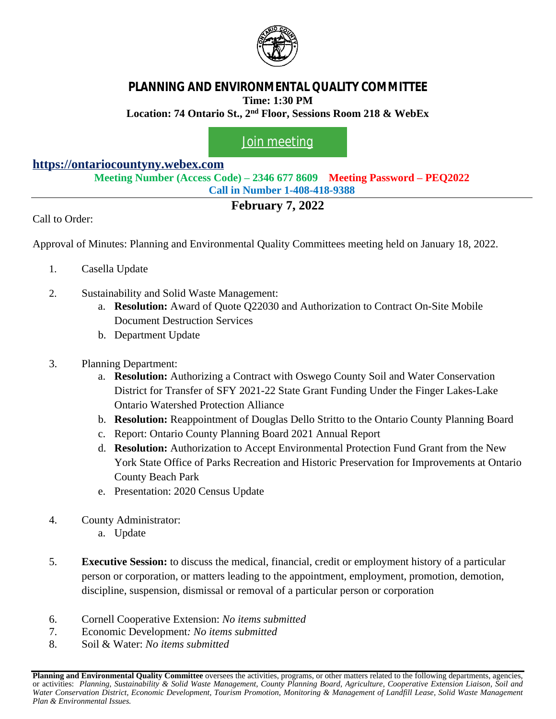

## **PLANNING AND ENVIRONMENTAL QUALITY COMMITTEE Time: 1:30 PM Location: 74 Ontario St., 2nd Floor, Sessions Room 218 & WebEx**

## [Join meeting](https://ontariocountyny.webex.com/)

## **<https://ontariocountyny.webex.com>**

**Meeting Number (Access Code) – 2346 677 8609 Meeting Password – PEQ2022 Call in Number 1-408-418-9388**

## **February 7, 2022**

Call to Order:

Approval of Minutes: Planning and Environmental Quality Committees meeting held on January 18, 2022.

- 1. Casella Update
- 2. Sustainability and Solid Waste Management:
	- a. **Resolution:** Award of Quote Q22030 and Authorization to Contract On-Site Mobile Document Destruction Services
	- b. Department Update
- 3. Planning Department:
	- a. **Resolution:** Authorizing a Contract with Oswego County Soil and Water Conservation District for Transfer of SFY 2021-22 State Grant Funding Under the Finger Lakes-Lake Ontario Watershed Protection Alliance
	- b. **Resolution:** Reappointment of Douglas Dello Stritto to the Ontario County Planning Board
	- c. Report: Ontario County Planning Board 2021 Annual Report
	- d. **Resolution:** Authorization to Accept Environmental Protection Fund Grant from the New York State Office of Parks Recreation and Historic Preservation for Improvements at Ontario County Beach Park
	- e. Presentation: 2020 Census Update
- 4. County Administrator:
	- a. Update
- 5. **Executive Session:** to discuss the medical, financial, credit or employment history of a particular person or corporation, or matters leading to the appointment, employment, promotion, demotion, discipline, suspension, dismissal or removal of a particular person or corporation
- 6. Cornell Cooperative Extension: *No items submitted*
- 7. Economic Development*: No items submitted*
- 8. Soil & Water: *No items submitted*